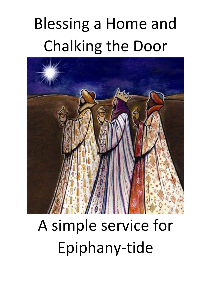# Blessing a Home and Chalking the Door



## A simple service for Epiphany-tide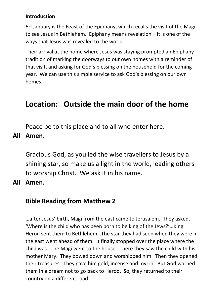#### **Introduction**

6th January is the Feast of the Epiphany, which recalls the visit of the Magi to see Jesus in Bethlehem. Epiphany means revelation – it is one of the ways that Jesus was revealed to the world.

Their arrival at the home where Jesus was staying prompted an Epiphany tradition of marking the doorways to our own homes with a reminder of that visit, and asking for God's blessing on the household for the coming year. We can use this simple service to ask God's blessing on our own homes.

## **Location: Outside the main door of the home**

Peace be to this place and to all who enter here.

**All Amen.** 

Gracious God, as you led the wise travellers to Jesus by a shining star, so make us a light in the world, leading others to worship Christ. We ask it in his name.

**All Amen.** 

### **Bible Reading from Matthew 2**

…after Jesus' birth, Magi from the east came to Jerusalem. They asked, 'Where is the child who has been born to be king of the Jews?'…King Herod sent them to Bethlehem…The star they had seen when they were in the east went ahead of them. It finally stopped over the place where the child was…The Magi went to the house. There they saw the child with his mother Mary. They bowed down and worshipped him. Then they opened their treasures. They gave him gold, incense and myrrh. But God warned them in a dream not to go back to Herod. So, they returned to their country on a different road.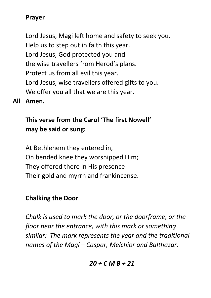## **Prayer**

Lord Jesus, Magi left home and safety to seek you. Help us to step out in faith this year. Lord Jesus, God protected you and the wise travellers from Herod's plans. Protect us from all evil this year. Lord Jesus, wise travellers offered gifts to you. We offer you all that we are this year.

**All Amen.** 

## **This verse from the Carol 'The first Nowell' may be said or sung:**

At Bethlehem they entered in, On bended knee they worshipped Him; They offered there in His presence Their gold and myrrh and frankincense.

## **Chalking the Door**

*Chalk is used to mark the door, or the doorframe, or the floor near the entrance, with this mark or something similar: The mark represents the year and the traditional names of the Magi – Caspar, Melchior and Balthazar.* 

#### *20 + C M B + 21*